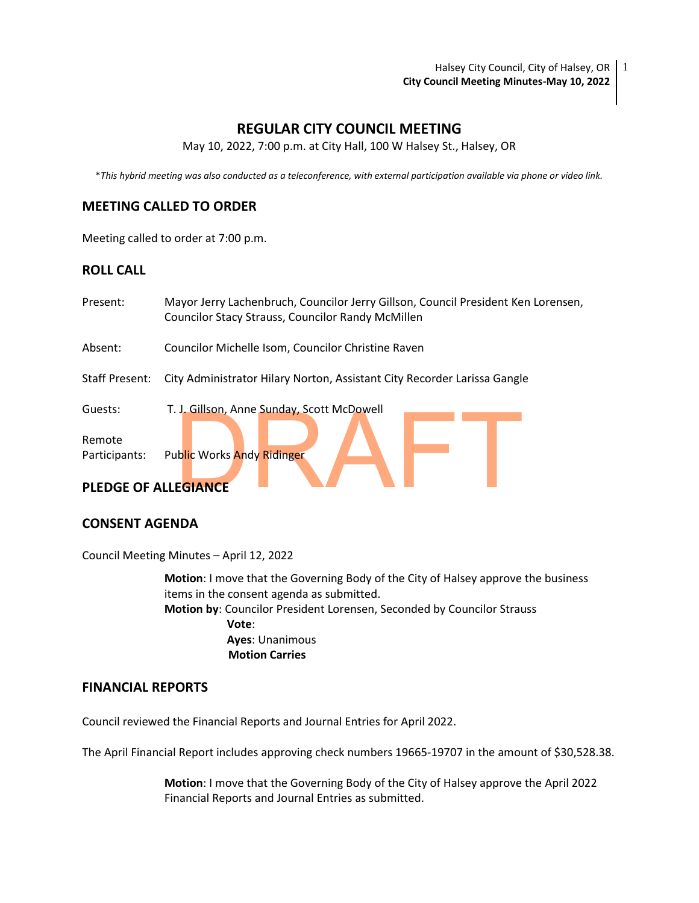# **REGULAR CITY COUNCIL MEETING**

May 10, 2022, 7:00 p.m. at City Hall, 100 W Halsey St., Halsey, OR

\**This hybrid meeting was also conducted as a teleconference, with external participation available via phone or video link.*

## **MEETING CALLED TO ORDER**

Meeting called to order at 7:00 p.m.

## **ROLL CALL**

| Present:                                     | Mayor Jerry Lachenbruch, Councilor Jerry Gillson, Council President Ken Lorensen,<br><b>Councilor Stacy Strauss, Councilor Randy McMillen</b> |
|----------------------------------------------|-----------------------------------------------------------------------------------------------------------------------------------------------|
| Absent:                                      | Councilor Michelle Isom, Councilor Christine Raven                                                                                            |
| <b>Staff Present:</b>                        | City Administrator Hilary Norton, Assistant City Recorder Larissa Gangle                                                                      |
| Guests:<br>Remote                            | T. J. Gillson, Anne Sunday, Scott McDowell<br><b>Public Works Andy Ridinger</b>                                                               |
| Participants:<br><b>PLEDGE OF ALLEGIANCE</b> |                                                                                                                                               |

## **CONSENT AGENDA**

Council Meeting Minutes – April 12, 2022

**Motion**: I move that the Governing Body of the City of Halsey approve the business items in the consent agenda as submitted. **Motion by**: Councilor President Lorensen, Seconded by Councilor Strauss **Vote**: **Ayes**: Unanimous  **Motion Carries**

### **FINANCIAL REPORTS**

Council reviewed the Financial Reports and Journal Entries for April 2022.

The April Financial Report includes approving check numbers 19665-19707 in the amount of \$30,528.38.

**Motion**: I move that the Governing Body of the City of Halsey approve the April 2022 Financial Reports and Journal Entries as submitted.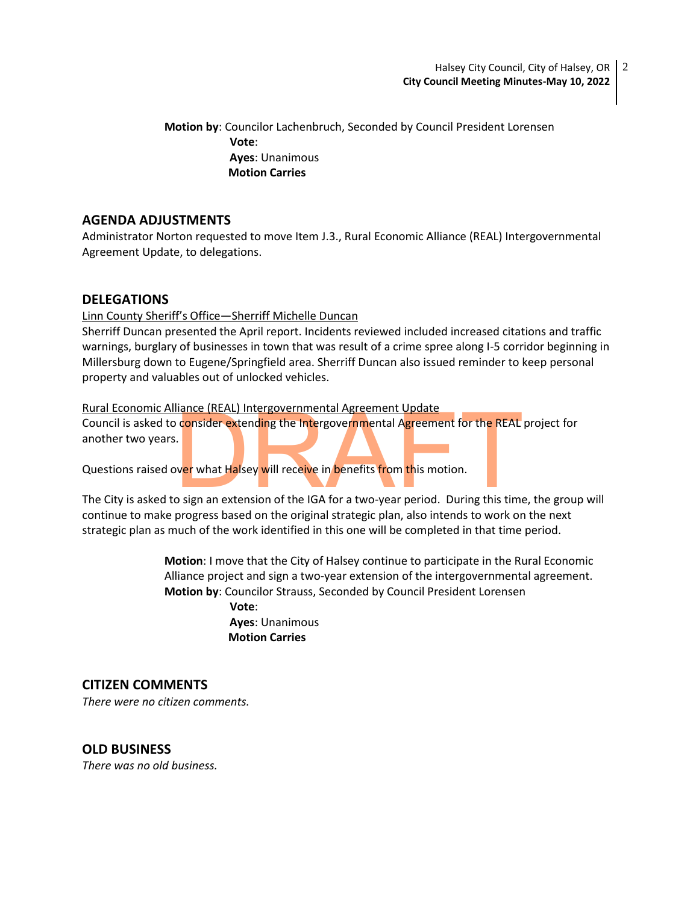**Motion by**: Councilor Lachenbruch, Seconded by Council President Lorensen **Vote**: **Ayes**: Unanimous  **Motion Carries**

### **AGENDA ADJUSTMENTS**

Administrator Norton requested to move Item J.3., Rural Economic Alliance (REAL) Intergovernmental Agreement Update, to delegations.

### **DELEGATIONS**

Linn County Sheriff's Office—Sherriff Michelle Duncan

Sherriff Duncan presented the April report. Incidents reviewed included increased citations and traffic warnings, burglary of businesses in town that was result of a crime spree along I-5 corridor beginning in Millersburg down to Eugene/Springfield area. Sherriff Duncan also issued reminder to keep personal property and valuables out of unlocked vehicles.

Rural Economic Alliance (REAL) Intergovernmental Agreement Update

The REAL<br>
Consider extending the Intergovernmental Agreement for the REAL<br>
Consider extending the Intergovernmental Agreement for the REAL<br>
Dragger what Halsey will receive in benefits from this motion.<br>
Do sign an extensi Council is asked to consider extending the Intergovernmental Agreement for the REAL project for another two years.

Questions raised over what Halsey will receive in benefits from this motion.

The City is asked to sign an extension of the IGA for a two-year period. During this time, the group will continue to make progress based on the original strategic plan, also intends to work on the next strategic plan as much of the work identified in this one will be completed in that time period.

> **Motion**: I move that the City of Halsey continue to participate in the Rural Economic Alliance project and sign a two-year extension of the intergovernmental agreement. **Motion by**: Councilor Strauss, Seconded by Council President Lorensen **Vote**: **Ayes**: Unanimous  **Motion Carries**

## **CITIZEN COMMENTS**

*There were no citizen comments.*

## **OLD BUSINESS**

*There was no old business.*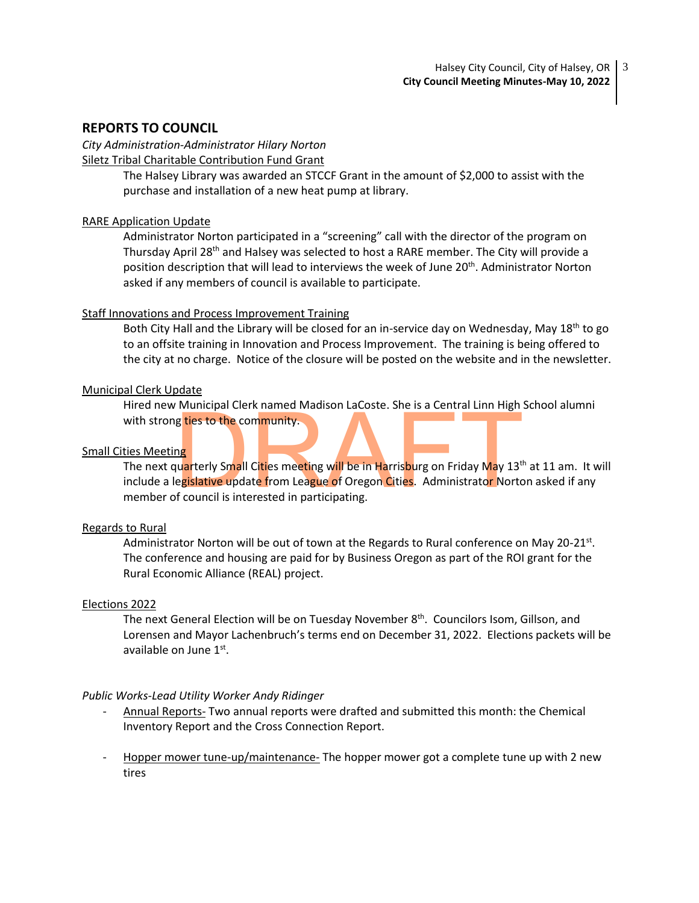## **REPORTS TO COUNCIL**

*City Administration-Administrator Hilary Norton*

# Siletz Tribal Charitable Contribution Fund Grant

The Halsey Library was awarded an STCCF Grant in the amount of \$2,000 to assist with the purchase and installation of a new heat pump at library.

#### RARE Application Update

Administrator Norton participated in a "screening" call with the director of the program on Thursday April 28<sup>th</sup> and Halsey was selected to host a RARE member. The City will provide a position description that will lead to interviews the week of June 20<sup>th</sup>. Administrator Norton asked if any members of council is available to participate.

### Staff Innovations and Process Improvement Training

Both City Hall and the Library will be closed for an in-service day on Wednesday, May  $18<sup>th</sup>$  to go to an offsite training in Innovation and Process Improvement. The training is being offered to the city at no charge. Notice of the closure will be posted on the website and in the newsletter.

#### Municipal Clerk Update

Hired new Municipal Clerk named Madison LaCoste. She is a Central Linn High School alumni with strong ties to the community.

#### Small Cities Meeting

The stock of the community.<br>
In the stock of the community.<br>
Equation of the community.<br>
Equation of the community.<br>
Dependence of Oregon Cities. Administrator North Council is interested in participating. The next qu<mark>ar</mark>terly Small C<mark>iti</mark>es meeting w<mark>ill be in Ha</mark>rris<mark>bu</mark>rg on Friday May 13<sup>th</sup> at 11 am. It will include a legislative update from League of Oregon Cities. Administrator Norton asked if any member of council is interested in participating.

#### Regards to Rural

Administrator Norton will be out of town at the Regards to Rural conference on May 20-21st. The conference and housing are paid for by Business Oregon as part of the ROI grant for the Rural Economic Alliance (REAL) project.

#### Elections 2022

The next General Election will be on Tuesday November 8<sup>th</sup>. Councilors Isom, Gillson, and Lorensen and Mayor Lachenbruch's terms end on December 31, 2022. Elections packets will be available on June 1<sup>st</sup>.

#### *Public Works-Lead Utility Worker Andy Ridinger*

- Annual Reports- Two annual reports were drafted and submitted this month: the Chemical Inventory Report and the Cross Connection Report.
- Hopper mower tune-up/maintenance- The hopper mower got a complete tune up with 2 new tires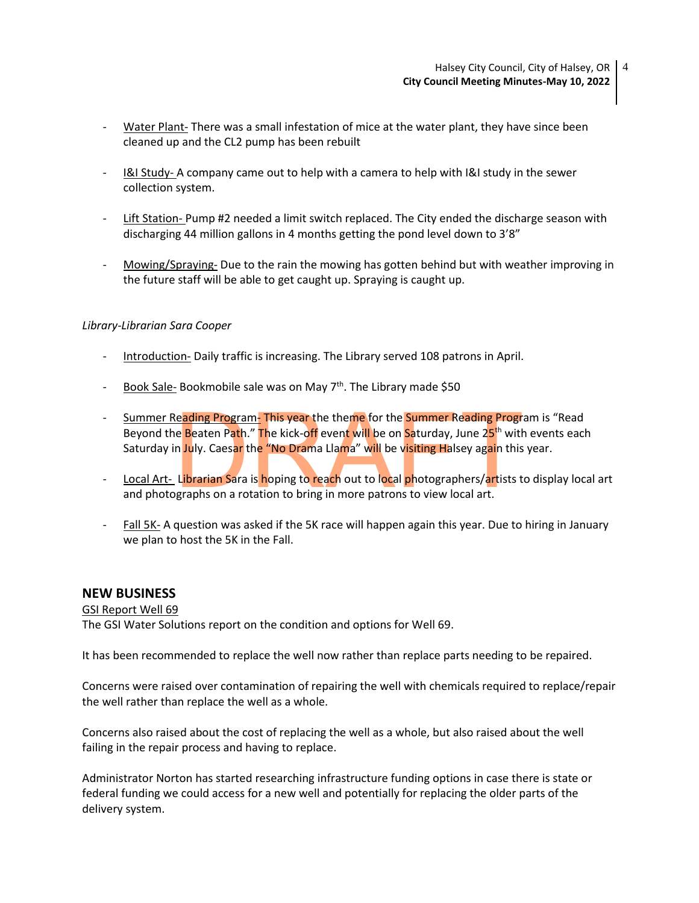- Water Plant- There was a small infestation of mice at the water plant, they have since been cleaned up and the CL2 pump has been rebuilt
- I&I Study-A company came out to help with a camera to help with I&I study in the sewer collection system.
- Lift Station- Pump #2 needed a limit switch replaced. The City ended the discharge season with discharging 44 million gallons in 4 months getting the pond level down to 3'8"
- Mowing/Spraying- Due to the rain the mowing has gotten behind but with weather improving in the future staff will be able to get caught up. Spraying is caught up.

### *Library-Librarian Sara Cooper*

- Introduction-Daily traffic is increasing. The Library served 108 patrons in April.
- Book Sale-Bookmobile sale was on May 7<sup>th</sup>. The Library made \$50
- eading Program-This year the theme for the Summer Reading Progress Control and Multiple Seaten Path." The kick-off event will be on Saturday, June 25<sup>th</sup> with puly. Caesar the "No Drama Llama" will be visiting Halsey again - Summer Reading Program- This year the theme for the Summer Reading Program is "Read Beyond the <mark>B</mark>eaten Path." The kick-off event will be on Saturday, June 25<sup>th</sup> with events each Saturday in July. Caesar the "No Drama Llama" will be visiting Halsey again this year.
- Local Art- Librarian Sara is hoping to reach out to local photographers/artists to display local art and photographs on a rotation to bring in more patrons to view local art.
- Fall 5K- A question was asked if the 5K race will happen again this year. Due to hiring in January we plan to host the 5K in the Fall.

### **NEW BUSINESS**

GSI Report Well 69 The GSI Water Solutions report on the condition and options for Well 69.

It has been recommended to replace the well now rather than replace parts needing to be repaired.

Concerns were raised over contamination of repairing the well with chemicals required to replace/repair the well rather than replace the well as a whole.

Concerns also raised about the cost of replacing the well as a whole, but also raised about the well failing in the repair process and having to replace.

Administrator Norton has started researching infrastructure funding options in case there is state or federal funding we could access for a new well and potentially for replacing the older parts of the delivery system.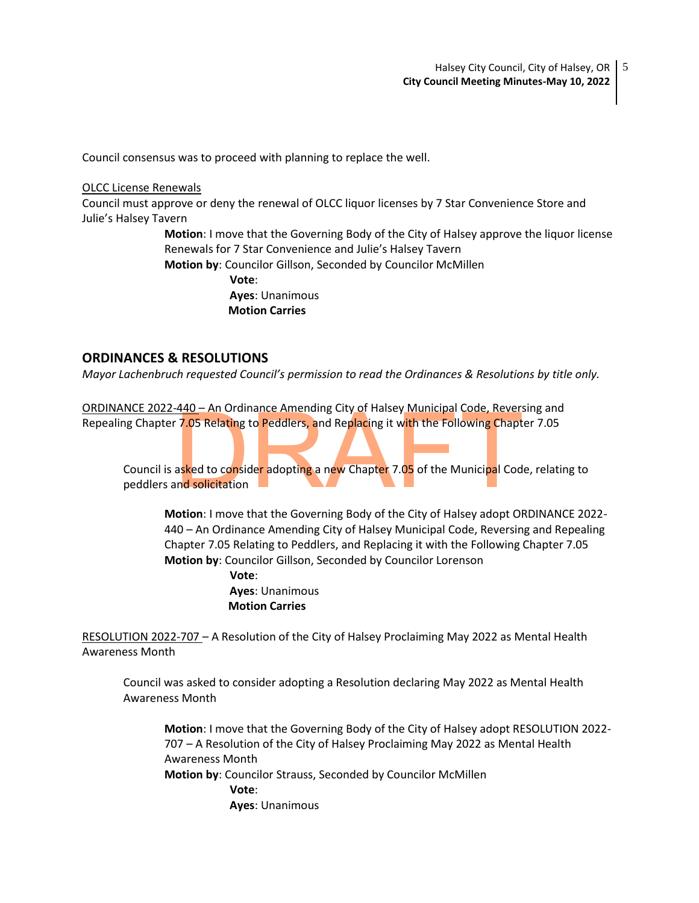Council consensus was to proceed with planning to replace the well.

OLCC License Renewals

Council must approve or deny the renewal of OLCC liquor licenses by 7 Star Convenience Store and Julie's Halsey Tavern

> **Motion**: I move that the Governing Body of the City of Halsey approve the liquor license Renewals for 7 Star Convenience and Julie's Halsey Tavern

**Motion by**: Councilor Gillson, Seconded by Councilor McMillen

 **Vote**: **Ayes**: Unanimous  **Motion Carries**

### **ORDINANCES & RESOLUTIONS**

*Mayor Lachenbruch requested Council's permission to read the Ordinances & Resolutions by title only.*

ORDINANCE 2022-440 – An Ordinance Amending City of Halsey Municipal Code, Reversing and Repealing Chapter 7.05 Relating to Peddlers, and Replacing it with the Following Chapter 7.05

2440 – An Ordinance Amending City of Halsey Municipal Code, Reverse 17.05 Relating to Peddlers, and Replacing it with the Following Chapt<br>2.05 Relating to Peddlers, and Replacing it with the Following Chapter<br>3.05 Relating Council is asked to consider adopting a new Chapter 7.05 of the Municipal Code, relating to peddlers and solicitation

**Motion**: I move that the Governing Body of the City of Halsey adopt ORDINANCE 2022- 440 – An Ordinance Amending City of Halsey Municipal Code, Reversing and Repealing Chapter 7.05 Relating to Peddlers, and Replacing it with the Following Chapter 7.05 **Motion by**: Councilor Gillson, Seconded by Councilor Lorenson

> **Vote**: **Ayes**: Unanimous  **Motion Carries**

RESOLUTION 2022-707 – A Resolution of the City of Halsey Proclaiming May 2022 as Mental Health Awareness Month

Council was asked to consider adopting a Resolution declaring May 2022 as Mental Health Awareness Month

**Motion**: I move that the Governing Body of the City of Halsey adopt RESOLUTION 2022- 707 – A Resolution of the City of Halsey Proclaiming May 2022 as Mental Health Awareness Month **Motion by**: Councilor Strauss, Seconded by Councilor McMillen **Vote**: **Ayes**: Unanimous